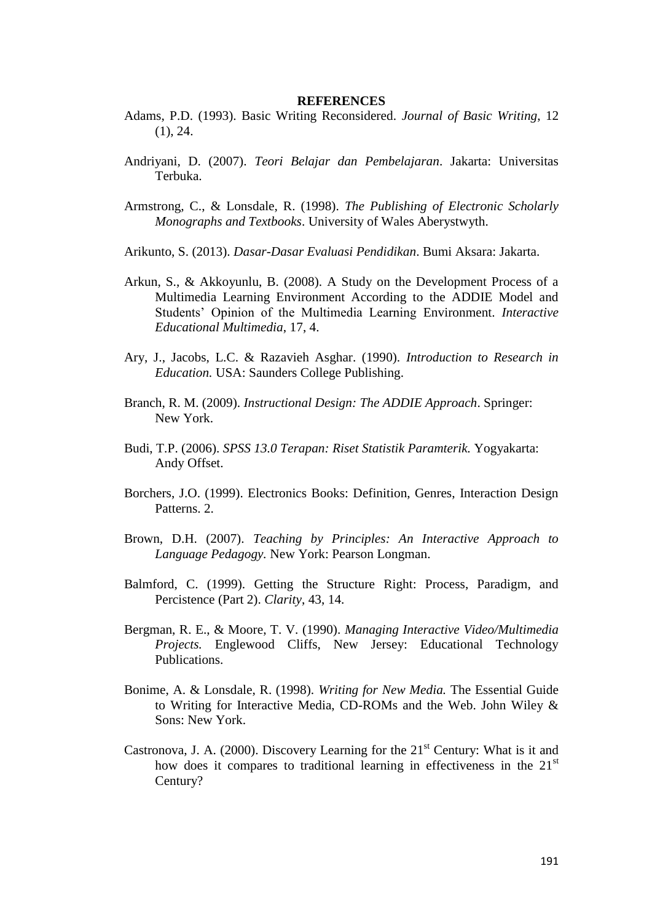## **REFERENCES**

- Adams, P.D. (1993). Basic Writing Reconsidered. *Journal of Basic Writing*, 12 (1), 24.
- Andriyani, D. (2007). *Teori Belajar dan Pembelajaran*. Jakarta: Universitas Terbuka.
- Armstrong, C., & Lonsdale, R. (1998). *The Publishing of Electronic Scholarly Monographs and Textbooks*. University of Wales Aberystwyth.
- Arikunto, S. (2013). *Dasar-Dasar Evaluasi Pendidikan*. Bumi Aksara: Jakarta.
- Arkun, S., & Akkoyunlu, B. (2008). A Study on the Development Process of a Multimedia Learning Environment According to the ADDIE Model and Students" Opinion of the Multimedia Learning Environment. *Interactive Educational Multimedia*, 17, 4.
- Ary, J., Jacobs, L.C. & Razavieh Asghar. (1990). *Introduction to Research in Education.* USA: Saunders College Publishing.
- Branch, R. M. (2009). *Instructional Design: The ADDIE Approach*. Springer: New York.
- Budi, T.P. (2006). *SPSS 13.0 Terapan: Riset Statistik Paramterik.* Yogyakarta: Andy Offset.
- Borchers, J.O. (1999). Electronics Books: Definition, Genres, Interaction Design Patterns. 2.
- Brown, D.H. (2007). *Teaching by Principles: An Interactive Approach to Language Pedagogy.* New York: Pearson Longman.
- Balmford, C. (1999). Getting the Structure Right: Process, Paradigm, and Percistence (Part 2). *Clarity*, 43, 14.
- Bergman, R. E., & Moore, T. V. (1990). *Managing Interactive Video/Multimedia Projects.* Englewood Cliffs, New Jersey: Educational Technology Publications.
- Bonime, A. & Lonsdale, R. (1998). *Writing for New Media.* The Essential Guide to Writing for Interactive Media, CD-ROMs and the Web. John Wiley & Sons: New York.
- Castronova, J. A. (2000). Discovery Learning for the  $21<sup>st</sup>$  Century: What is it and how does it compares to traditional learning in effectiveness in the  $21<sup>st</sup>$ Century?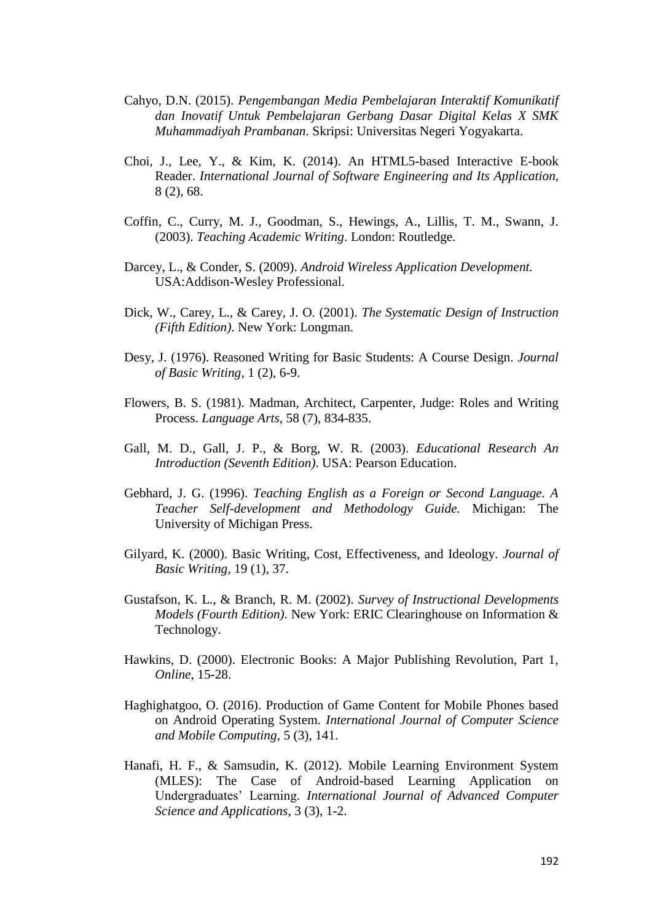- Cahyo, D.N. (2015). *Pengembangan Media Pembelajaran Interaktif Komunikatif dan Inovatif Untuk Pembelajaran Gerbang Dasar Digital Kelas X SMK Muhammadiyah Prambanan*. Skripsi: Universitas Negeri Yogyakarta.
- Choi, J., Lee, Y., & Kim, K. (2014). An HTML5-based Interactive E-book Reader. *International Journal of Software Engineering and Its Application*, 8 (2), 68.
- Coffin, C., Curry, M. J., Goodman, S., Hewings, A., Lillis, T. M., Swann, J. (2003). *Teaching Academic Writing*. London: Routledge.
- Darcey, L., & Conder, S. (2009). *Android Wireless Application Development.* USA[:Addison-Wesley Professional.](http://www.awprofessional.com/)
- Dick, W., Carey, L., & Carey, J. O. (2001). *The Systematic Design of Instruction (Fifth Edition)*. New York: Longman.
- Desy, J. (1976). Reasoned Writing for Basic Students: A Course Design. *Journal of Basic Writing*, 1 (2), 6-9.
- Flowers, B. S. (1981). Madman, Architect, Carpenter, Judge: Roles and Writing Process. *Language Arts*, 58 (7), 834-835.
- Gall, M. D., Gall, J. P., & Borg, W. R. (2003). *Educational Research An Introduction (Seventh Edition)*. USA: Pearson Education.
- Gebhard, J. G. (1996). *Teaching English as a Foreign or Second Language. A Teacher Self-development and Methodology Guide.* Michigan: The University of Michigan Press.
- Gilyard, K. (2000). Basic Writing, Cost, Effectiveness, and Ideology. *Journal of Basic Writing*, 19 (1), 37.
- Gustafson, K. L., & Branch, R. M. (2002). *Survey of Instructional Developments Models (Fourth Edition)*. New York: ERIC Clearinghouse on Information & Technology.
- Hawkins, D. (2000). Electronic Books: A Major Publishing Revolution, Part 1, *Online*, 15-28.
- Haghighatgoo, O. (2016). Production of Game Content for Mobile Phones based on Android Operating System. *International Journal of Computer Science and Mobile Computing*, 5 (3), 141.
- Hanafi, H. F., & Samsudin, K. (2012). Mobile Learning Environment System (MLES): The Case of Android-based Learning Application on Undergraduates" Learning. *International Journal of Advanced Computer Science and Applications*, 3 (3), 1-2.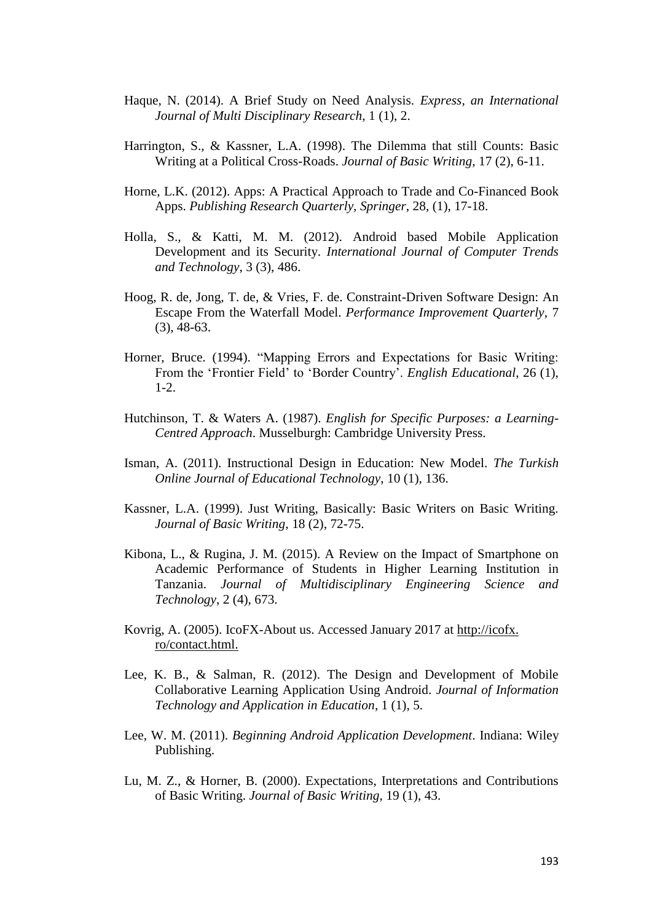- Haque, N. (2014). A Brief Study on Need Analysis. *Express, an International Journal of Multi Disciplinary Research*, 1 (1), 2.
- Harrington, S., & Kassner, L.A. (1998). The Dilemma that still Counts: Basic Writing at a Political Cross-Roads. *Journal of Basic Writing*, 17 (2), 6-11.
- Horne, L.K. (2012). Apps: A Practical Approach to Trade and Co-Financed Book Apps. *Publishing Research Quarterly, Springer*, 28, (1), 17-18.
- Holla, S., & Katti, M. M. (2012). Android based Mobile Application Development and its Security. *International Journal of Computer Trends and Technology*, 3 (3), 486.
- Hoog, R. de, Jong, T. de, & Vries, F. de. Constraint-Driven Software Design: An Escape From the Waterfall Model. *Performance Improvement Quarterly*, 7 (3), 48-63.
- Horner, Bruce. (1994). "Mapping Errors and Expectations for Basic Writing: From the "Frontier Field" to "Border Country". *English Educational*, 26 (1), 1-2.
- Hutchinson, T. & Waters A. (1987). *English for Specific Purposes: a Learning-Centred Approach*. Musselburgh: Cambridge University Press.
- Isman, A. (2011). Instructional Design in Education: New Model. *The Turkish Online Journal of Educational Technology*, 10 (1), 136.
- Kassner, L.A. (1999). Just Writing, Basically: Basic Writers on Basic Writing. *Journal of Basic Writing*, 18 (2), 72-75.
- Kibona, L., & Rugina, J. M. (2015). A Review on the Impact of Smartphone on Academic Performance of Students in Higher Learning Institution in Tanzania. *Journal of Multidisciplinary Engineering Science and Technology*, 2 (4), 673.
- Kovrig, A. (2005). IcoFX-About us. Accessed January 2017 at [http://icofx.](http://icofx.ro/contact.html) ro/contact.html.
- Lee, K. B., & Salman, R. (2012). The Design and Development of Mobile Collaborative Learning Application Using Android. *Journal of Information Technology and Application in Education*, 1 (1), 5.
- Lee, W. M. (2011). *Beginning Android Application Development*. Indiana: Wiley Publishing.
- Lu, M. Z., & Horner, B. (2000). Expectations, Interpretations and Contributions of Basic Writing. *Journal of Basic Writing*, 19 (1), 43.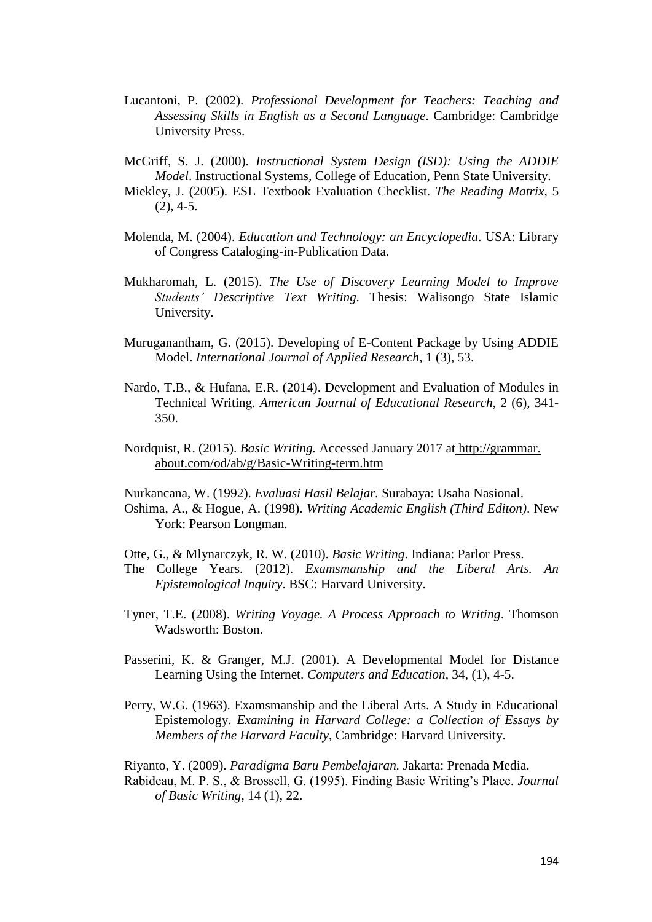- Lucantoni, P. (2002). *Professional Development for Teachers: Teaching and Assessing Skills in English as a Second Language*. Cambridge: Cambridge University Press.
- McGriff, S. J. (2000). *Instructional System Design (ISD): Using the ADDIE Model*. Instructional Systems, College of Education, Penn State University.
- Miekley, J. (2005). ESL Textbook Evaluation Checklist. *The Reading Matrix*, 5  $(2)$ , 4-5.
- Molenda, M. (2004). *Education and Technology: an Encyclopedia*. USA: Library of Congress Cataloging-in-Publication Data.
- Mukharomah, L. (2015). *The Use of Discovery Learning Model to Improve Students' Descriptive Text Writing.* Thesis: Walisongo State Islamic University.
- Muruganantham, G. (2015). Developing of E-Content Package by Using ADDIE Model. *International Journal of Applied Research*, 1 (3), 53.
- Nardo, T.B., & Hufana, E.R. (2014). Development and Evaluation of Modules in Technical Writing. *American Journal of Educational Research*, 2 (6), 341- 350.
- Nordquist, R. (2015). *Basic Writing.* Accessed January 2017 at http://grammar. about.com/od/ab/g/Basic-Writing-term.htm

Nurkancana, W. (1992). *Evaluasi Hasil Belajar.* Surabaya: Usaha Nasional.

- Oshima, A., & Hogue, A. (1998). *Writing Academic English (Third Editon)*. New York: Pearson Longman.
- Otte, G., & Mlynarczyk, R. W. (2010). *Basic Writing*. Indiana: Parlor Press.
- The College Years. (2012). *Examsmanship and the Liberal Arts. An Epistemological Inquiry*. BSC: Harvard University.
- Tyner, T.E. (2008). *Writing Voyage. A Process Approach to Writing*. Thomson Wadsworth: Boston.
- Passerini, K. & Granger, M.J. (2001). A Developmental Model for Distance Learning Using the Internet. *Computers and Education*, 34, (1), 4-5.
- Perry, W.G. (1963). Examsmanship and the Liberal Arts. A Study in Educational Epistemology. *Examining in Harvard College: a Collection of Essays by Members of the Harvard Faculty*, Cambridge: Harvard University.
- Riyanto, Y. (2009). *Paradigma Baru Pembelajaran.* Jakarta: Prenada Media. Rabideau, M. P. S., & Brossell, G. (1995). Finding Basic Writing"s Place. *Journal of Basic Writing*, 14 (1), 22.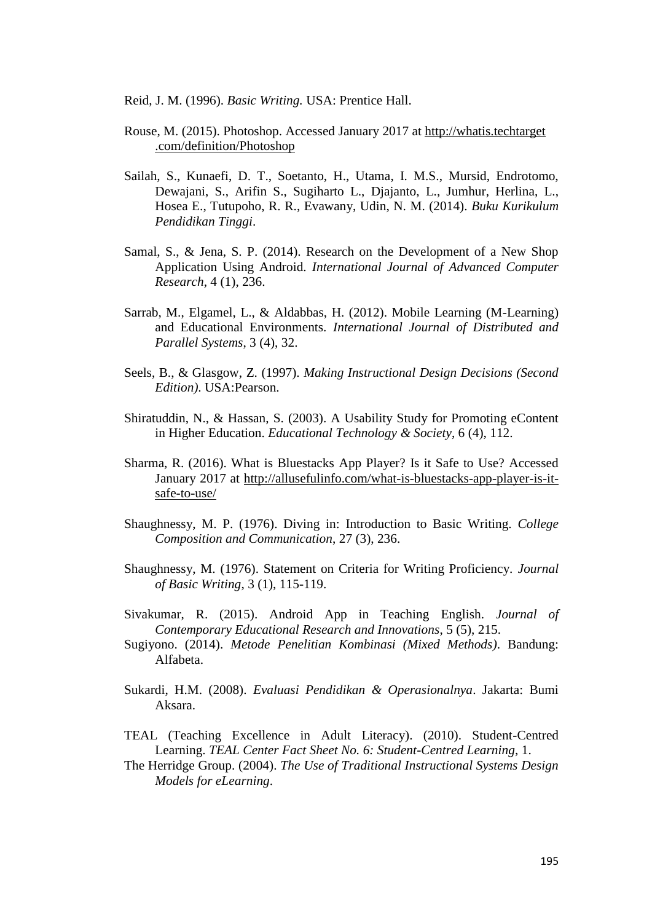Reid, J. M. (1996). *Basic Writing.* USA: Prentice Hall.

- Rouse, M. (2015). Photoshop. Accessed January 2017 at http://whatis.techtarget .com/definition/Photoshop
- Sailah, S., Kunaefi, D. T., Soetanto, H., Utama, I. M.S., Mursid, Endrotomo, Dewajani, S., Arifin S., Sugiharto L., Djajanto, L., Jumhur, Herlina, L., Hosea E., Tutupoho, R. R., Evawany, Udin, N. M. (2014). *Buku Kurikulum Pendidikan Tinggi*.
- Samal, S., & Jena, S. P. (2014). Research on the Development of a New Shop Application Using Android. *International Journal of Advanced Computer Research*, 4 (1), 236.
- Sarrab, M., Elgamel, L., & Aldabbas, H. (2012). Mobile Learning (M-Learning) and Educational Environments. *International Journal of Distributed and Parallel Systems*, 3 (4), 32.
- Seels, B., & Glasgow, Z. (1997). *Making Instructional Design Decisions (Second Edition)*. USA:Pearson.
- Shiratuddin, N., & Hassan, S. (2003). A Usability Study for Promoting eContent in Higher Education. *Educational Technology & Society*, 6 (4), 112.
- Sharma, R. (2016). What is Bluestacks App Player? Is it Safe to Use? Accessed January 2017 at [http://allusefulinfo.com/what-is-bluestacks-app-player-is-it](http://allusefulinfo.com/what-is-bluestacks-app-player-is-it-safe-to-use/)[safe-to-use/](http://allusefulinfo.com/what-is-bluestacks-app-player-is-it-safe-to-use/)
- Shaughnessy, M. P. (1976). Diving in: Introduction to Basic Writing. *College Composition and Communication*, 27 (3), 236.
- Shaughnessy, M. (1976). Statement on Criteria for Writing Proficiency. *Journal of Basic Writing*, 3 (1), 115-119.
- Sivakumar, R. (2015). Android App in Teaching English. *Journal of Contemporary Educational Research and Innovations*, 5 (5), 215.
- Sugiyono. (2014). *Metode Penelitian Kombinasi (Mixed Methods)*. Bandung: Alfabeta.
- Sukardi, H.M. (2008). *Evaluasi Pendidikan & Operasionalnya*. Jakarta: Bumi Aksara.
- TEAL (Teaching Excellence in Adult Literacy). (2010). Student-Centred Learning. *TEAL Center Fact Sheet No. 6: Student-Centred Learning*, 1.
- The Herridge Group. (2004). *The Use of Traditional Instructional Systems Design Models for eLearning*.